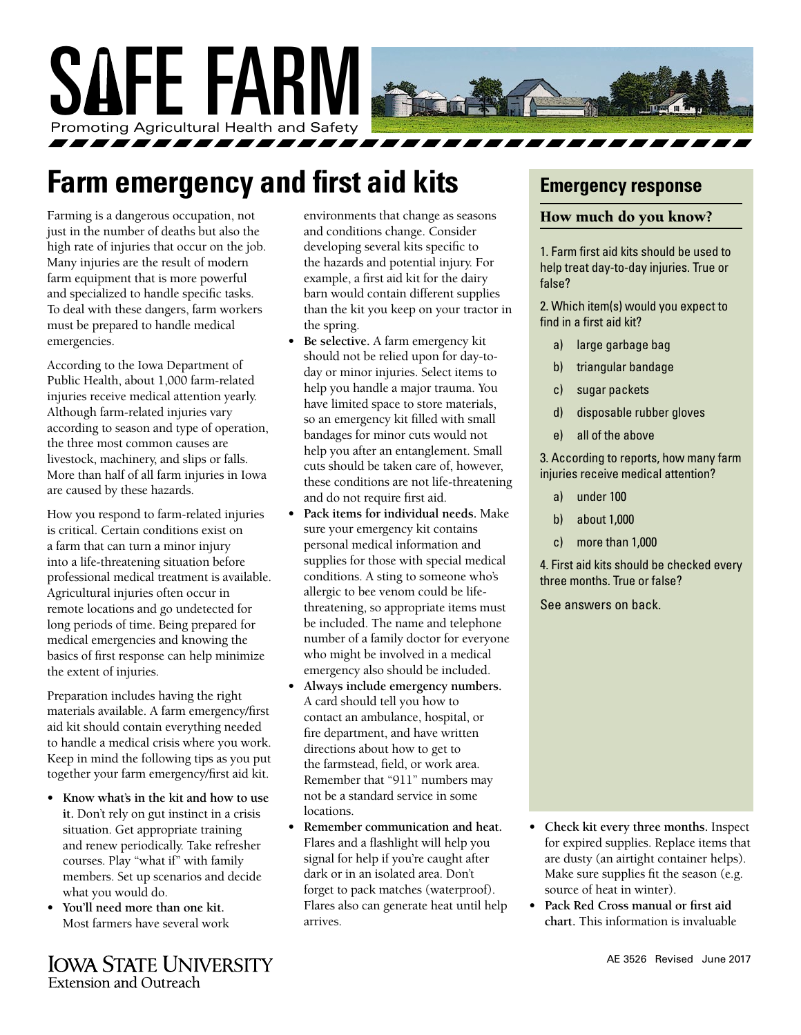

# **Farm emergency and first aid kits**

Farming is a dangerous occupation, not just in the number of deaths but also the high rate of injuries that occur on the job. Many injuries are the result of modern farm equipment that is more powerful and specialized to handle specific tasks. To deal with these dangers, farm workers must be prepared to handle medical emergencies.

According to the Iowa Department of Public Health, about 1,000 farm-related injuries receive medical attention yearly. Although farm-related injuries vary according to season and type of operation, the three most common causes are livestock, machinery, and slips or falls. More than half of all farm injuries in Iowa are caused by these hazards.

How you respond to farm-related injuries is critical. Certain conditions exist on a farm that can turn a minor injury into a life-threatening situation before professional medical treatment is available. Agricultural injuries often occur in remote locations and go undetected for long periods of time. Being prepared for medical emergencies and knowing the basics of first response can help minimize the extent of injuries.

Preparation includes having the right materials available. A farm emergency/first aid kit should contain everything needed to handle a medical crisis where you work. Keep in mind the following tips as you put together your farm emergency/first aid kit.

- **• Know what's in the kit and how to use it.** Don't rely on gut instinct in a crisis situation. Get appropriate training and renew periodically. Take refresher courses. Play "what if" with family members. Set up scenarios and decide what you would do.
- **• You'll need more than one kit.** Most farmers have several work

**IOWA STATE UNIVERSITY Extension and Outreach** 

environments that change as seasons and conditions change. Consider developing several kits specific to the hazards and potential injury. For example, a first aid kit for the dairy barn would contain different supplies than the kit you keep on your tractor in the spring.

- **• Be selective.** A farm emergency kit should not be relied upon for day-today or minor injuries. Select items to help you handle a major trauma. You have limited space to store materials, so an emergency kit filled with small bandages for minor cuts would not help you after an entanglement. Small cuts should be taken care of, however, these conditions are not life-threatening and do not require first aid.
- **• Pack items for individual needs.** Make sure your emergency kit contains personal medical information and supplies for those with special medical conditions. A sting to someone who's allergic to bee venom could be lifethreatening, so appropriate items must be included. The name and telephone number of a family doctor for everyone who might be involved in a medical emergency also should be included.
- **• Always include emergency numbers.**  A card should tell you how to contact an ambulance, hospital, or fire department, and have written directions about how to get to the farmstead, field, or work area. Remember that "911" numbers may not be a standard service in some locations.
- **• Remember communication and heat.**  Flares and a flashlight will help you signal for help if you're caught after dark or in an isolated area. Don't forget to pack matches (waterproof). Flares also can generate heat until help arrives.

### **Emergency response**

#### How much do you know?

1. Farm first aid kits should be used to help treat day-to-day injuries. True or false?

2. Which item(s) would you expect to find in a first aid kit?

- a) large garbage bag
- b) triangular bandage
- c) sugar packets
- d) disposable rubber gloves
- e) all of the above

3. According to reports, how many farm injuries receive medical attention?

- a) under 100
- b) about 1,000
- c) more than 1,000

4. First aid kits should be checked every three months. True or false?

See answers on back.



**• Pack Red Cross manual or first aid chart.** This information is invaluable